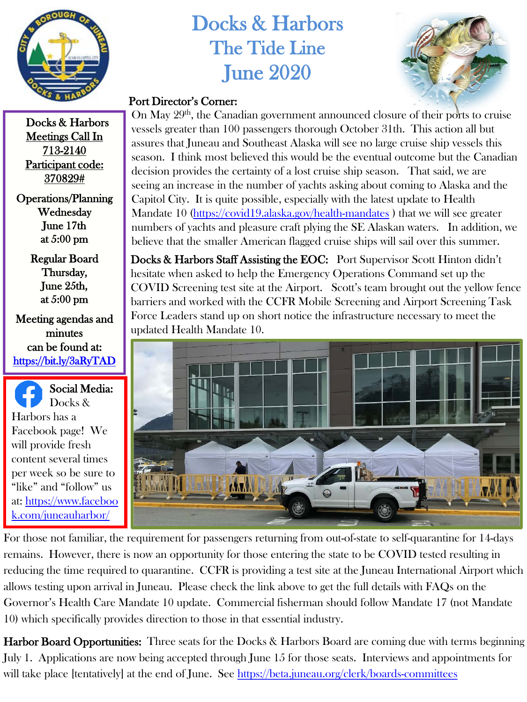

## Docks & Harbors The Tide Line June 2020



## Port Director's Corner:

Docks & Harbors Meetings Call In 713-2140 Participant code: 370829#

Operations/Planning Wednesday June 17th at 5:00 pm

> Regular Board Thursday, June 25th, at 5:00 pm

Meeting agendas and minutes can be found at: <https://bit.ly/3aRyTAD>

Social Media: Docks & Harbors has a Facebook page! We will provide fresh content several times per week so be sure to "like" and "follow" us [at: https://www.faceboo](https://www.facebook.com/juneauharbor/) k.com/juneauharbor/

On May 29<sup>th</sup>, the Canadian government announced closure of their ports to cruise vessels greater than 100 passengers thorough October 31th. This action all but assures that Juneau and Southeast Alaska will see no large cruise ship vessels this season. I think most believed this would be the eventual outcome but the Canadian decision provides the certainty of a lost cruise ship season. That said, we are seeing an increase in the number of yachts asking about coming to Alaska and the Capitol City. It is quite possible, especially with the latest update to Health Mandate 10 [\(https://covid19.alaska.gov/health-mandates](https://covid19.alaska.gov/health-mandates) ) that we will see greater numbers of yachts and pleasure craft plying the SE Alaskan waters. In addition, we believe that the smaller American flagged cruise ships will sail over this summer.

Docks & Harbors Staff Assisting the EOC: Port Supervisor Scott Hinton didn't hesitate when asked to help the Emergency Operations Command set up the COVID Screening test site at the Airport. Scott's team brought out the yellow fence barriers and worked with the CCFR Mobile Screening and Airport Screening Task Force Leaders stand up on short notice the infrastructure necessary to meet the updated Health Mandate 10.



For those not familiar, the requirement for passengers returning from out-of-state to self-quarantine for 14-days remains. However, there is now an opportunity for those entering the state to be COVID tested resulting in reducing the time required to quarantine. CCFR is providing a test site at the Juneau International Airport which allows testing upon arrival in Juneau. Please check the link above to get the full details with FAQs on the Governor's Health Care Mandate 10 update. Commercial fisherman should follow Mandate 17 (not Mandate 10) which specifically provides direction to those in that essential industry.

**Harbor Board Opportunities:** Three seats for the Docks & Harbors Board are coming due with terms beginning July 1. Applications are now being accepted through June 15 for those seats. Interviews and appointments for will take place [tentatively] at the end of June. See<https://beta.juneau.org/clerk/boards-committees>